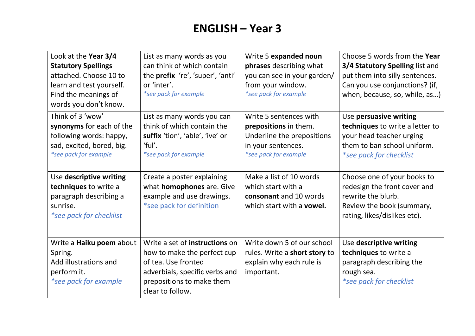# **ENGLISH – Year 3**

| Look at the Year 3/4<br><b>Statutory Spellings</b><br>attached. Choose 10 to<br>learn and test yourself.<br>Find the meanings of<br>words you don't know. | List as many words as you<br>can think of which contain<br>the prefix 're', 'super', 'anti'<br>or 'inter'.<br>*see pack for example                                     | Write 5 expanded noun<br>phrases describing what<br>you can see in your garden/<br>from your window.<br>*see pack for example | Choose 5 words from the Year<br>3/4 Statutory Spelling list and<br>put them into silly sentences.<br>Can you use conjunctions? (if,<br>when, because, so, while, as) |
|-----------------------------------------------------------------------------------------------------------------------------------------------------------|-------------------------------------------------------------------------------------------------------------------------------------------------------------------------|-------------------------------------------------------------------------------------------------------------------------------|----------------------------------------------------------------------------------------------------------------------------------------------------------------------|
| Think of 3 'wow'<br>synonyms for each of the<br>following words: happy,<br>sad, excited, bored, big.<br>*see pack for example                             | List as many words you can<br>think of which contain the<br>suffix 'tion', 'able', 'ive' or<br>'ful'.<br>*see pack for example                                          | Write 5 sentences with<br>prepositions in them.<br>Underline the prepositions<br>in your sentences.<br>*see pack for example  | Use persuasive writing<br>techniques to write a letter to<br>your head teacher urging<br>them to ban school uniform.<br>*see pack for checklist                      |
| Use descriptive writing<br>techniques to write a<br>paragraph describing a<br>sunrise.<br>*see pack for checklist                                         | Create a poster explaining<br>what <b>homophones</b> are. Give<br>example and use drawings.<br>*see pack for definition                                                 | Make a list of 10 words<br>which start with a<br>consonant and 10 words<br>which start with a <b>vowel.</b>                   | Choose one of your books to<br>redesign the front cover and<br>rewrite the blurb.<br>Review the book (summary,<br>rating, likes/dislikes etc).                       |
| Write a Haiku poem about<br>Spring.<br>Add illustrations and<br>perform it.<br>*see pack for example                                                      | Write a set of instructions on<br>how to make the perfect cup<br>of tea. Use fronted<br>adverbials, specific verbs and<br>prepositions to make them<br>clear to follow. | Write down 5 of our school<br>rules. Write a short story to<br>explain why each rule is<br>important.                         | Use descriptive writing<br>techniques to write a<br>paragraph describing the<br>rough sea.<br>*see pack for checklist                                                |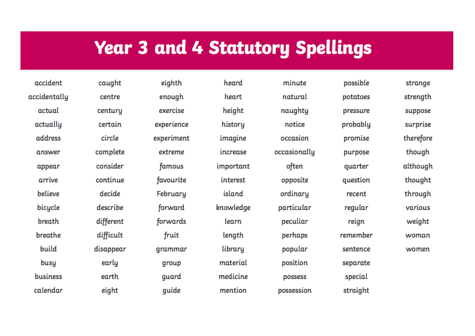# **Year 3 and 4 Statutory Spellings**

accident accidentally actual actually address answer appear arrive believe bicycle **breath** breathe build busy business calendar

caught centre centuru certain circle complete consider continue decide describe different difficult disappear early earth eight

eighth enough exercise experience experiment extreme famous favourite Februaru forward forwards fruit grammar group guard guide

heard heart height history imagine increase important interest island knowledge learn length library material medicine mention

minute natural naughty notice occasion occasionally often opposite ordinary particular peculiar perhaps popular position possess possession

possible potatoes pressure probably promise purpose quarter question recent regular reign remember sentence separate special straight

strange strength suppose surprise therefore though although thought through various weight woman women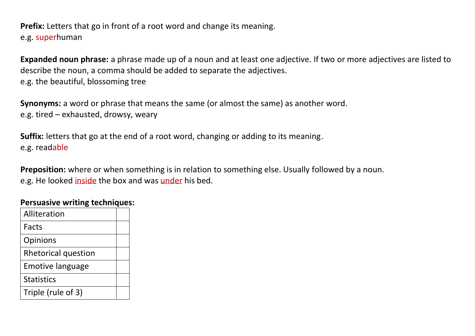**Prefix:** Letters that go in front of a root word and change its meaning. e.g. superhuman

**Expanded noun phrase:** a phrase made up of a noun and at least one adjective. If two or more adjectives are listed to describe the noun, a comma should be added to separate the adjectives. e.g. the beautiful, blossoming tree

**Synonyms:** a word or phrase that means the same (or almost the same) as another word. e.g. tired – exhausted, drowsy, weary

**Suffix:** letters that go at the end of a root word, changing or adding to its meaning. e.g. readable

**Preposition:** where or when something is in relation to something else. Usually followed by a noun. e.g. He looked inside the box and was under his bed.

#### **Persuasive writing techniques:**

| Alliteration               |  |
|----------------------------|--|
| Facts                      |  |
| Opinions                   |  |
| <b>Rhetorical question</b> |  |
| <b>Emotive language</b>    |  |
| <b>Statistics</b>          |  |
| Triple (rule of 3)         |  |